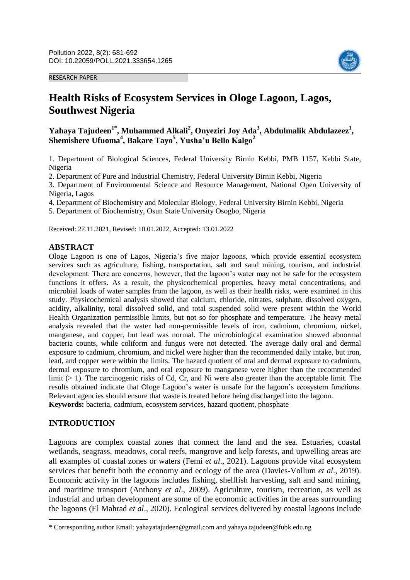#### RESEARCH PAPER



# **Health Risks of Ecosystem Services in Ologe Lagoon, Lagos, Southwest Nigeria**

**Yahaya Tajudeen1\* , Muhammed Alkali<sup>2</sup> , Onyeziri Joy Ada<sup>3</sup> , Abdulmalik Abdulazeez<sup>1</sup> , Shemishere Ufuoma<sup>4</sup> , Bakare Tayo<sup>5</sup> , Yusha'u Bello Kalgo<sup>2</sup>**

1. Department of Biological Sciences, Federal University Birnin Kebbi, PMB 1157, Kebbi State, Nigeria

2. Department of Pure and Industrial Chemistry, Federal University Birnin Kebbi, Nigeria

3. Department of Environmental Science and Resource Management, National Open University of Nigeria, Lagos

4. Department of Biochemistry and Molecular Biology, Federal University Birnin Kebbi, Nigeria

5. Department of Biochemistry, Osun State University Osogbo, Nigeria

Received: 27.11.2021, Revised: 10.01.2022, Accepted: 13.01.2022

#### **ABSTRACT**

Ologe Lagoon is one of Lagos, Nigeria's five major lagoons, which provide essential ecosystem services such as agriculture, fishing, transportation, salt and sand mining, tourism, and industrial development. There are concerns, however, that the lagoon's water may not be safe for the ecosystem functions it offers. As a result, the physicochemical properties, heavy metal concentrations, and microbial loads of water samples from the lagoon, as well as their health risks, were examined in this study. Physicochemical analysis showed that calcium, chloride, nitrates, sulphate, dissolved oxygen, acidity, alkalinity, total dissolved solid, and total suspended solid were present within the World Health Organization permissible limits, but not so for phosphate and temperature. The heavy metal analysis revealed that the water had non-permissible levels of iron, cadmium, chromium, nickel, manganese, and copper, but lead was normal. The microbiological examination showed abnormal bacteria counts, while coliform and fungus were not detected. The average daily oral and dermal exposure to cadmium, chromium, and nickel were higher than the recommended daily intake, but iron, lead, and copper were within the limits. The hazard quotient of oral and dermal exposure to cadmium, dermal exposure to chromium, and oral exposure to manganese were higher than the recommended limit  $(> 1)$ . The carcinogenic risks of Cd, Cr, and Ni were also greater than the acceptable limit. The results obtained indicate that Ologe Lagoon's water is unsafe for the lagoon's ecosystem functions. Relevant agencies should ensure that waste is treated before being discharged into the lagoon. **Keywords:** bacteria, cadmium, ecosystem services, hazard quotient, phosphate

#### **INTRODUCTION**

 $\overline{\phantom{a}}$ 

Lagoons are complex coastal zones that connect the land and the sea. Estuaries, coastal wetlands, seagrass, meadows, coral reefs, mangrove and kelp forests, and upwelling areas are all examples of coastal zones or waters (Femi *et al*., 2021). Lagoons provide vital ecosystem services that benefit both the economy and ecology of the area (Davies-Vollum *et al*., 2019). Economic activity in the lagoons includes fishing, shellfish harvesting, salt and sand mining, and maritime transport (Anthony *et al*., 2009). Agriculture, tourism, recreation, as well as industrial and urban development are some of the economic activities in the areas surrounding the lagoons (El Mahrad *et al*., 2020). Ecological services delivered by coastal lagoons include

<sup>\*</sup> Corresponding author Email: yahayatajudeen@gmail.com and yahaya.tajudeen@fubk.edu.ng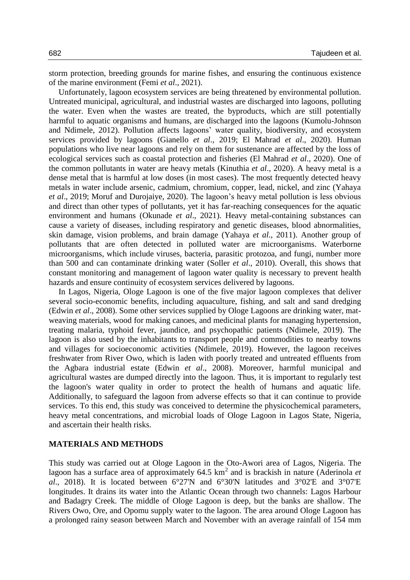storm protection, breeding grounds for marine fishes, and ensuring the continuous existence of the marine environment (Femi *et al*., 2021).

Unfortunately, lagoon ecosystem services are being threatened by environmental pollution. Untreated municipal, agricultural, and industrial wastes are discharged into lagoons, polluting the water. Even when the wastes are treated, the byproducts, which are still potentially harmful to aquatic organisms and humans, are discharged into the lagoons (Kumolu-Johnson and Ndimele, 2012). Pollution affects lagoons' water quality, biodiversity, and ecosystem services provided by lagoons (Gianello *et al*., 2019; El Mahrad *et al*., 2020). Human populations who live near lagoons and rely on them for sustenance are affected by the loss of ecological services such as coastal protection and fisheries (El Mahrad *et al*., 2020). One of the common pollutants in water are heavy metals (Kinuthia *et al*., 2020). A heavy metal is a dense metal that is harmful at low doses (in most cases). The most frequently detected heavy metals in water include arsenic, cadmium, chromium, copper, lead, nickel, and zinc (Yahaya *et al*., 2019; Moruf and Durojaiye, 2020). The lagoon's heavy metal pollution is less obvious and direct than other types of pollutants, yet it has far-reaching consequences for the aquatic environment and humans (Okunade *et al*., 2021). Heavy metal-containing substances can cause a variety of diseases, including respiratory and genetic diseases, blood abnormalities, skin damage, vision problems, and brain damage (Yahaya *et al*., 2011). Another group of pollutants that are often detected in polluted water are microorganisms. Waterborne microorganisms, which include viruses, bacteria, parasitic protozoa, and fungi, number more than 500 and can contaminate drinking water (Soller *et al*., 2010). Overall, this shows that constant monitoring and management of lagoon water quality is necessary to prevent health hazards and ensure continuity of ecosystem services delivered by lagoons.

In Lagos, Nigeria, Ologe Lagoon is one of the five major lagoon complexes that deliver several socio-economic benefits, including aquaculture, fishing, and salt and sand dredging (Edwin *et al*., 2008). Some other services supplied by Ologe Lagoons are drinking water, matweaving materials, wood for making canoes, and medicinal plants for managing hypertension, treating malaria, typhoid fever, jaundice, and psychopathic patients (Ndimele, 2019). The lagoon is also used by the inhabitants to transport people and commodities to nearby towns and villages for socioeconomic activities (Ndimele, 2019). However, the lagoon receives freshwater from River Owo, which is laden with poorly treated and untreated effluents from the Agbara industrial estate (Edwin *et al*., 2008). Moreover, harmful municipal and agricultural wastes are dumped directly into the lagoon. Thus, it is important to regularly test the lagoon's water quality in order to protect the health of humans and aquatic life. Additionally, to safeguard the lagoon from adverse effects so that it can continue to provide services. To this end, this study was conceived to determine the physicochemical parameters, heavy metal concentrations, and microbial loads of Ologe Lagoon in Lagos State, Nigeria, and ascertain their health risks.

## **MATERIALS AND METHODS**

This study was carried out at Ologe Lagoon in the Oto-Awori area of Lagos, Nigeria. The lagoon has a surface area of approximately  $64.5 \text{ km}^2$  and is brackish in nature (Aderinola *et al.*, 2018). It is located between  $6^{\circ}27'N$  and  $6^{\circ}30'N$  latitudes and  $3^{\circ}02'E$  and  $3^{\circ}07'E$ longitudes. It drains its water into the Atlantic Ocean through two channels: Lagos Harbour and Badagry Creek. The middle of Ologe Lagoon is deep, but the banks are shallow. The Rivers Owo, Ore, and Opomu supply water to the lagoon. The area around Ologe Lagoon has a prolonged rainy season between March and November with an average rainfall of 154 mm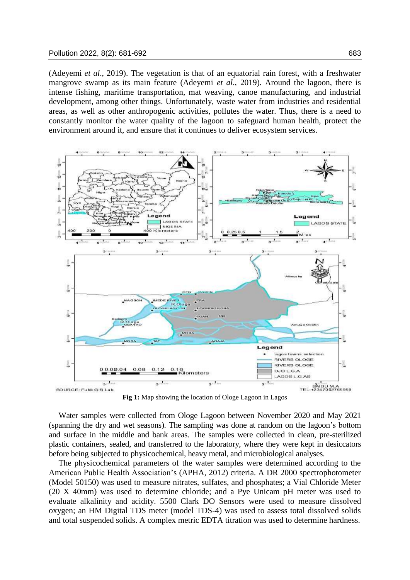(Adeyemi *et al*., 2019). The vegetation is that of an equatorial rain forest, with a freshwater mangrove swamp as its main feature (Adeyemi *et al*., 2019). Around the lagoon, there is intense fishing, maritime transportation, mat weaving, canoe manufacturing, and industrial development, among other things. Unfortunately, waste water from industries and residential areas, as well as other anthropogenic activities, pollutes the water. Thus, there is a need to constantly monitor the water quality of the lagoon to safeguard human health, protect the environment around it, and ensure that it continues to deliver ecosystem services.



**Fig 1:** Map showing the location of Ologe Lagoon in Lagos

Water samples were collected from Ologe Lagoon between November 2020 and May 2021 (spanning the dry and wet seasons). The sampling was done at random on the lagoon's bottom and surface in the middle and bank areas. The samples were collected in clean, pre-sterilized plastic containers, sealed, and transferred to the laboratory, where they were kept in desiccators before being subjected to physicochemical, heavy metal, and microbiological analyses.

The physicochemical parameters of the water samples were determined according to the American Public Health Association's (APHA, 2012) criteria. A DR 2000 spectrophotometer (Model 50150) was used to measure nitrates, sulfates, and phosphates; a Vial Chloride Meter (20 X 40mm) was used to determine chloride; and a Pye Unicam pH meter was used to evaluate alkalinity and acidity. 5500 Clark DO Sensors were used to measure dissolved oxygen; an HM Digital TDS meter (model TDS-4) was used to assess total dissolved solids and total suspended solids. A complex metric EDTA titration was used to determine hardness.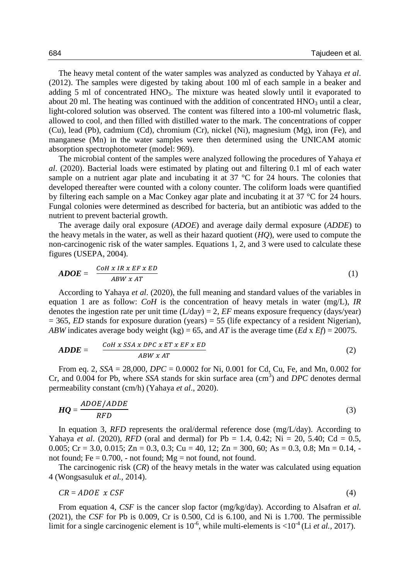The heavy metal content of the water samples was analyzed as conducted by Yahaya *et al*. (2012). The samples were digested by taking about 100 ml of each sample in a beaker and adding 5 ml of concentrated  $HNO<sub>3</sub>$ . The mixture was heated slowly until it evaporated to about 20 ml. The heating was continued with the addition of concentrated  $HNO<sub>3</sub>$  until a clear, light-colored solution was observed. The content was filtered into a 100-ml volumetric flask, allowed to cool, and then filled with distilled water to the mark. The concentrations of copper (Cu), lead (Pb), cadmium (Cd), chromium (Cr), nickel (Ni), magnesium (Mg), iron (Fe), and manganese (Mn) in the water samples were then determined using the UNICAM atomic absorption spectrophotometer (model: 969).

The microbial content of the samples were analyzed following the procedures of Yahaya *et al*. (2020). Bacterial loads were estimated by plating out and filtering 0.1 ml of each water sample on a nutrient agar plate and incubating it at 37 °C for 24 hours. The colonies that developed thereafter were counted with a colony counter. The coliform loads were quantified by filtering each sample on a Mac Conkey agar plate and incubating it at 37 °C for 24 hours. Fungal colonies were determined as described for bacteria, but an antibiotic was added to the nutrient to prevent bacterial growth.

The average daily oral exposure (*ADOE*) and average daily dermal exposure (*ADDE*) to the heavy metals in the water, as well as their hazard quotient (*HQ*), were used to compute the non-carcinogenic risk of the water samples. Equations 1, 2, and 3 were used to calculate these figures (USEPA, 2004).

$$
ADOE = \frac{CoH \times IR \times EF \times ED}{ABW \times AT} \tag{1}
$$

According to Yahaya *et al*. (2020), the full meaning and standard values of the variables in equation 1 are as follow: *CoH* is the concentration of heavy metals in water (mg/L), *IR* denotes the ingestion rate per unit time  $(L/day) = 2$ , *EF* means exposure frequency (days/year)  $= 365$ , *ED* stands for exposure duration (years)  $= 55$  (life expectancy of a resident Nigerian), *ABW* indicates average body weight (kg) = 65, and *AT* is the average time (*Ed* x *Ef*) = 20075.

$$
ADDE = \frac{COH \times SSA \times DPC \times ET \times EF \times ED}{ABW \times AT}
$$
 (2)

From eq. 2, *SSA* = 28,000, *DPC* = 0.0002 for Ni, 0.001 for Cd, Cu, Fe, and Mn, 0.002 for Cr, and 0.004 for Pb, where *SSA* stands for skin surface area (cm<sup>3</sup>) and *DPC* denotes dermal permeability constant (cm/h) (Yahaya *et al*., 2020).

$$
HQ = \frac{ADOE/ADDE}{RFD} \tag{3}
$$

In equation 3, *RFD* represents the oral/dermal reference dose (mg/L/day). According to Yahaya *et al.* (2020), *RFD* (oral and dermal) for Pb = 1.4, 0.42; Ni = 20, 5.40; Cd = 0.5, 0.005; Cr = 3.0, 0.015; Zn = 0.3, 0.3; Cu = 40, 12; Zn = 300, 60; As = 0.3, 0.8; Mn = 0.14, not found; Fe =  $0.700$ , - not found; Mg = not found, not found.

The carcinogenic risk (*CR*) of the heavy metals in the water was calculated using equation 4 (Wongsasuluk *et al.,* 2014).

$$
CR = ADOE \times CSF \tag{4}
$$

From equation 4, *CSF* is the cancer slop factor (mg/kg/day). According to Alsafran *et al.* (2021), the *CSF* for Pb is 0.009, Cr is 0.500, Cd is 6.100, and Ni is 1.700. The permissible limit for a single carcinogenic element is  $10^{-6}$ , while multi-elements is  $\langle 10^{-4}$  (Li *et al.*, 2017).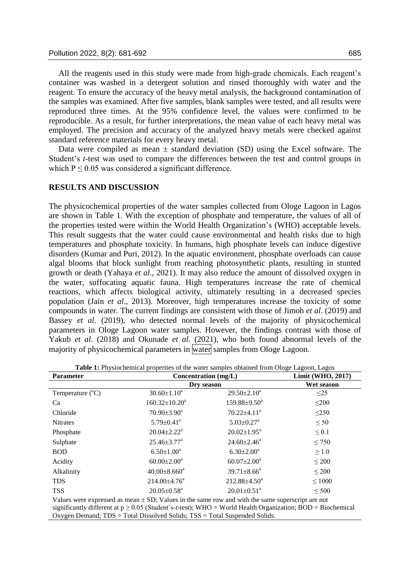All the reagents used in this study were made from high-grade chemicals. Each reagent's container was washed in a detergent solution and rinsed thoroughly with water and the reagent. To ensure the accuracy of the heavy metal analysis, the background contamination of the samples was examined. After five samples, blank samples were tested, and all results were reproduced three times. At the 95% confidence level, the values were confirmed to be reproducible. As a result, for further interpretations, the mean value of each heavy metal was employed. The precision and accuracy of the analyzed heavy metals were checked against standard reference materials for every heavy metal.

Data were compiled as mean  $\pm$  standard deviation (SD) using the Excel software. The Student's *t*-test was used to compare the differences between the test and control groups in which  $P \le 0.05$  was considered a significant difference.

#### **RESULTS AND DISCUSSION**

The physicochemical properties of the water samples collected from Ologe Lagoon in Lagos are shown in Table 1. With the exception of phosphate and temperature, the values of all of the properties tested were within the World Health Organization's (WHO) acceptable levels. This result suggests that the water could cause environmental and health risks due to high temperatures and phosphate toxicity. In humans, high phosphate levels can induce digestive disorders (Kumar and Puri, 2012). In the aquatic environment, phosphate overloads can cause algal blooms that block sunlight from reaching photosynthetic plants, resulting in stunted growth or death (Yahaya *et al*., 2021). It may also reduce the amount of dissolved oxygen in the water, suffocating aquatic fauna. High temperatures increase the rate of chemical reactions, which affects biological activity, ultimately resulting in a decreased species population (Jain *et al*., 2013). Moreover, high temperatures increase the toxicity of some compounds in water. The current findings are consistent with those of Jimoh *et al*. (2019) and Bassey *et al*. (2019), who detected normal levels of the majority of physicochemical parameters in Ologe Lagoon water samples. However, the findings contrast with those of Yakub *et al*. (2018) and Okunade *et al*. (2021), who both found abnormal levels of the majority of physicochemical parameters in water samples from Ologe Lagoon.

| <b>Parameter</b>          | Concentration (mg/L)                                                                                           |                               | Limit (WHO, 2017) |
|---------------------------|----------------------------------------------------------------------------------------------------------------|-------------------------------|-------------------|
|                           | Dry season                                                                                                     |                               | Wet season        |
| Temperature $(^{\circ}C)$ | $30.60 \pm 1.10^a$                                                                                             | $29.50 \pm 2.10^a$            | $\leq$ 25         |
| Ca                        | $160.32 \pm 10.20^a$                                                                                           | $159.88 \pm 9.50^a$           | $\leq 200$        |
| Chloride                  | $70.90 \pm 3.90^a$                                                                                             | $70.22 \pm 4.11$ <sup>a</sup> | $\leq$ 250        |
| <b>Nitrates</b>           | $5.79 \pm 0.41$ <sup>a</sup>                                                                                   | $5.03 \pm 0.27$ <sup>a</sup>  | $\leq 50$         |
| Phosphate                 | $20.04 \pm 2.22^a$                                                                                             | $20.02 \pm 1.95^a$            | $\leq 0.1$        |
| Sulphate                  | $25.46 \pm 3.77$ <sup>a</sup>                                                                                  | $24.60 \pm 2.46^a$            | $\leq 750$        |
| <b>BOD</b>                | $6.50 \pm 1.00^a$                                                                                              | $6.30 \pm 2.00^a$             | $\geq 1.0$        |
| Acidity                   | $60.00 \pm 2.00^a$                                                                                             | $60.07 \pm 2.00^a$            | $\leq 200$        |
| Alkalinity                | $40.00 \pm 8.660^{\circ}$                                                                                      | $39.71 \pm 8.66^a$            | $\leq 200$        |
| <b>TDS</b>                | $214.00\pm4.76^a$                                                                                              | $212.88 \pm 4.50^a$           | $\leq 1000$       |
| <b>TSS</b>                | $20.05 \pm 0.58$ <sup>a</sup>                                                                                  | $20.01 \pm 0.51$ <sup>a</sup> | $\leq 500$        |
|                           | Values were expressed as mean $\pm$ SD; Values in the same row and with the same superscript are not           |                               |                   |
|                           | significantly different at $p \ge 0.05$ (Student's-t-test): WHO = World Health Organization: BOD = Biochemical |                               |                   |

**Table 1:** Physiochemical properties of the water samples obtained from Ologe Lagoon, Lagos

significantly different at p ≥ 0.05 (Student's-*t*-test); WHO = World Health Organization; BOD = Biochemical Oxygen Demand; TDS = Total Dissolved Solids; TSS = Total Suspended Solids.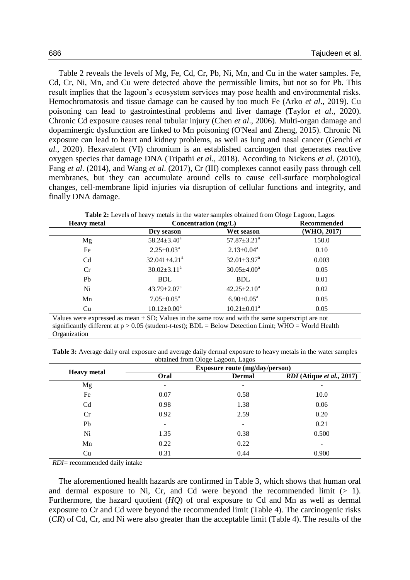Table 2 reveals the levels of Mg, Fe, Cd, Cr, Pb, Ni, Mn, and Cu in the water samples. Fe, Cd, Cr, Ni, Mn, and Cu were detected above the permissible limits, but not so for Pb. This result implies that the lagoon's ecosystem services may pose health and environmental risks. Hemochromatosis and tissue damage can be caused by too much Fe (Arko *et al*., 2019). Cu poisoning can lead to gastrointestinal problems and liver damage (Taylor *et al*., 2020). Chronic Cd exposure causes renal tubular injury (Chen *et al*., 2006). Multi-organ damage and dopaminergic dysfunction are linked to Mn poisoning (O'Neal and Zheng, 2015). Chronic Ni exposure can lead to heart and kidney problems, as well as lung and nasal cancer (Genchi *et al.,* 2020). Hexavalent (VI) chromium is an established carcinogen that generates reactive oxygen species that damage DNA (Tripathi *et al*., 2018). According to Nickens *et al*. (2010), Fang *et al*. (2014), and Wang *et al*. (2017), Cr (III) complexes cannot easily pass through cell membranes, but they can accumulate around cells to cause cell-surface morphological changes, cell-membrane lipid injuries via disruption of cellular functions and integrity, and finally DNA damage.

| <b>Heavy</b> metal | Table 2: Levels of heavy metals in the water samples obtained from Ologe Lagoon, Lagos<br>Concentration (mg/L) | Recommended                   |             |
|--------------------|----------------------------------------------------------------------------------------------------------------|-------------------------------|-------------|
|                    | Dry season                                                                                                     | Wet season                    | (WHO, 2017) |
| Mg                 | $58.24 \pm 3.40^a$                                                                                             | $57.87 \pm 3.21$ <sup>a</sup> | 150.0       |
| Fe                 | $2.25 \pm 0.03^a$                                                                                              | $2.13 \pm 0.04^a$             | 0.10        |
| C <sub>d</sub>     | $32.041 \pm 4.21$ <sup>a</sup>                                                                                 | $32.01 \pm 3.97$ <sup>a</sup> | 0.003       |
| Cr                 | $30.02 \pm 3.11^a$                                                                                             | $30.05 \pm 4.00^a$            | 0.05        |
| Pb                 | <b>BDL</b>                                                                                                     | <b>BDL</b>                    | 0.01        |
| Ni                 | $43.79 \pm 2.07^{\mathrm{a}}$                                                                                  | $42.25 \pm 2.10^a$            | 0.02        |
| Mn                 | $7.05 \pm 0.05^{\text{a}}$                                                                                     | $6.90 \pm 0.05^{\text{a}}$    | 0.05        |
| Cu                 | $10.12 \pm 0.00^a$                                                                                             | $10.21 \pm 0.01^a$            | 0.05        |

Values were expressed as mean  $\pm$  SD; Values in the same row and with the same superscript are not significantly different at p > 0.05 (student-*t*-test); BDL = Below Detection Limit; WHO = World Health Organization

**Table 3:** Average daily oral exposure and average daily dermal exposure to heavy metals in the water samples obtained from Ologe Lagoon, Lagos

|                                       | Exposure route (mg/day/person) |               |                                          |
|---------------------------------------|--------------------------------|---------------|------------------------------------------|
| <b>Heavy</b> metal                    | Oral                           | <b>Dermal</b> | <i>RDI</i> (Atique <i>et al.</i> , 2017) |
| Mg                                    | -                              | ۰             | ۰                                        |
| Fe                                    | 0.07                           | 0.58          | 10.0                                     |
| C <sub>d</sub>                        | 0.98                           | 1.38          | 0.06                                     |
| Cr                                    | 0.92                           | 2.59          | 0.20                                     |
| Pb                                    |                                | ۰             | 0.21                                     |
| Ni                                    | 1.35                           | 0.38          | 0.500                                    |
| Mn                                    | 0.22                           | 0.22          |                                          |
| Cu                                    | 0.31                           | 0.44          | 0.900                                    |
| <i>RDI</i> = recommended daily intake |                                |               |                                          |

The aforementioned health hazards are confirmed in Table 3, which shows that human oral and dermal exposure to Ni, Cr, and Cd were beyond the recommended limit  $(> 1)$ . Furthermore, the hazard quotient (*HQ*) of oral exposure to Cd and Mn as well as dermal exposure to Cr and Cd were beyond the recommended limit (Table 4). The carcinogenic risks (*CR*) of Cd, Cr, and Ni were also greater than the acceptable limit (Table 4). The results of the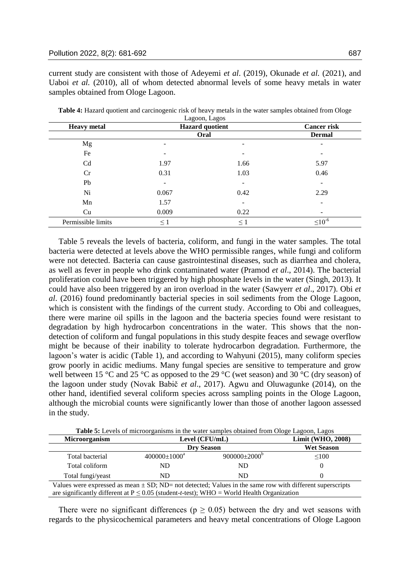current study are consistent with those of Adeyemi *et al*. (2019), Okunade *et al.* (2021), and Uaboi *et al.* (2010), all of whom detected abnormal levels of some heavy metals in water samples obtained from Ologe Lagoon.

| <b>Heavy metal</b> | Lagoon, Lagos<br><b>Hazard</b> quotient |                          | <b>Cancer risk</b> |
|--------------------|-----------------------------------------|--------------------------|--------------------|
|                    | Oral                                    |                          | <b>Dermal</b>      |
| Mg                 | $\overline{\phantom{0}}$                | $\overline{\phantom{a}}$ |                    |
| Fe                 |                                         | $\overline{\phantom{a}}$ |                    |
| C <sub>d</sub>     | 1.97                                    | 1.66                     | 5.97               |
| Cr                 | 0.31                                    | 1.03                     | 0.46               |
| Pb                 |                                         | $\overline{\phantom{a}}$ |                    |
| Ni                 | 0.067                                   | 0.42                     | 2.29               |
| Mn                 | 1.57                                    | $\overline{\phantom{a}}$ |                    |
| Cu                 | 0.009                                   | 0.22                     |                    |
| Permissible limits | $\leq$ 1                                | $\leq 1$                 | $\leq 10^{-6}$     |

**Table 4:** Hazard quotient and carcinogenic risk of heavy metals in the water samples obtained from Ologe Lagoon, Lagos

Table 5 reveals the levels of bacteria, coliform, and fungi in the water samples. The total bacteria were detected at levels above the WHO permissible ranges, while fungi and coliform were not detected. Bacteria can cause gastrointestinal diseases, such as diarrhea and cholera, as well as fever in people who drink contaminated water (Pramod *et al*., 2014). The bacterial proliferation could have been triggered by high phosphate levels in the water (Singh, 2013). It could have also been triggered by an iron overload in the water (Sawyerr *et al*., 2017). Obi *et al*. (2016) found predominantly bacterial species in soil sediments from the Ologe Lagoon, which is consistent with the findings of the current study. According to Obi and colleagues, there were marine oil spills in the lagoon and the bacteria species found were resistant to degradation by high hydrocarbon concentrations in the water. This shows that the nondetection of coliform and fungal populations in this study despite feaces and sewage overflow might be because of their inability to tolerate hydrocarbon degradation. Furthermore, the lagoon's water is acidic (Table 1), and according to Wahyuni (2015), many coliform species grow poorly in acidic mediums. Many fungal species are sensitive to temperature and grow well between 15 °C and 25 °C as opposed to the 29 °C (wet season) and 30 °C (dry season) of the lagoon under study (Novak Babič *et al*., 2017). Agwu and Oluwagunke (2014), on the other hand, identified several coliform species across sampling points in the Ologe Lagoon, although the microbial counts were significantly lower than those of another lagoon assessed in the study.

**Table 5:** Levels of microorganisms in the water samples obtained from Ologe Lagoon, Lagos

| <b>Microorganism</b>                                                                                                                                                                                          | Level $(CFU/mL)$          |                           | Limit (WHO, 2008) |
|---------------------------------------------------------------------------------------------------------------------------------------------------------------------------------------------------------------|---------------------------|---------------------------|-------------------|
|                                                                                                                                                                                                               | <b>Dry Season</b>         |                           | <b>Wet Season</b> |
| Total bacterial                                                                                                                                                                                               | $400000 \pm 1000^{\circ}$ | $900000 \pm 2000^{\circ}$ | $\leq 100$        |
| Total coliform                                                                                                                                                                                                | ND.                       | ND                        |                   |
| Total fungi/yeast                                                                                                                                                                                             | ND.                       | ND                        |                   |
| Values were expressed as mean $\pm$ SD; ND= not detected; Values in the same row with different superscripts<br>are significantly different at $P \le 0.05$ (student-t-test); WHO = World Health Organization |                           |                           |                   |

There were no significant differences ( $p \ge 0.05$ ) between the dry and wet seasons with regards to the physicochemical parameters and heavy metal concentrations of Ologe Lagoon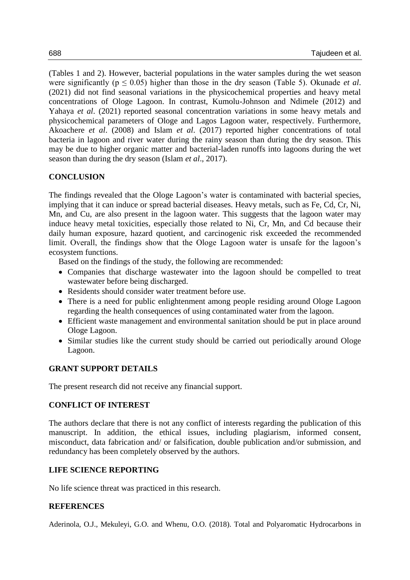(Tables 1 and 2). However, bacterial populations in the water samples during the wet season were significantly (p ≤ 0.05) higher than those in the dry season (Table 5). Okunade *et al*. (2021) did not find seasonal variations in the physicochemical properties and heavy metal concentrations of Ologe Lagoon. In contrast, Kumolu-Johnson and Ndimele (2012) and Yahaya *et al*. (2021) reported seasonal concentration variations in some heavy metals and physicochemical parameters of Ologe and Lagos Lagoon water, respectively. Furthermore, Akoachere *et al*. (2008) and Islam *et al*. (2017) reported higher concentrations of total bacteria in lagoon and river water during the rainy season than during the dry season. This may be due to higher organic matter and bacterial-laden runoffs into lagoons during the wet season than during the dry season (Islam *et al*., 2017).

## **CONCLUSION**

The findings revealed that the Ologe Lagoon's water is contaminated with bacterial species, implying that it can induce or spread bacterial diseases. Heavy metals, such as Fe, Cd, Cr, Ni, Mn, and Cu, are also present in the lagoon water. This suggests that the lagoon water may induce heavy metal toxicities, especially those related to Ni, Cr, Mn, and Cd because their daily human exposure, hazard quotient, and carcinogenic risk exceeded the recommended limit. Overall, the findings show that the Ologe Lagoon water is unsafe for the lagoon's ecosystem functions.

Based on the findings of the study, the following are recommended:

- Companies that discharge wastewater into the lagoon should be compelled to treat wastewater before being discharged.
- Residents should consider water treatment before use.
- There is a need for public enlightenment among people residing around Ologe Lagoon regarding the health consequences of using contaminated water from the lagoon.
- Efficient waste management and environmental sanitation should be put in place around Ologe Lagoon.
- Similar studies like the current study should be carried out periodically around Ologe Lagoon.

## **GRANT SUPPORT DETAILS**

The present research did not receive any financial support.

## **CONFLICT OF INTEREST**

The authors declare that there is not any conflict of interests regarding the publication of this manuscript. In addition, the ethical issues, including plagiarism, informed consent, misconduct, data fabrication and/ or falsification, double publication and/or submission, and redundancy has been completely observed by the authors.

## **LIFE SCIENCE REPORTING**

No life science threat was practiced in this research.

## **REFERENCES**

Aderinola, O.J., Mekuleyi, G.O. and Whenu, O.O. (2018). Total and Polyaromatic Hydrocarbons in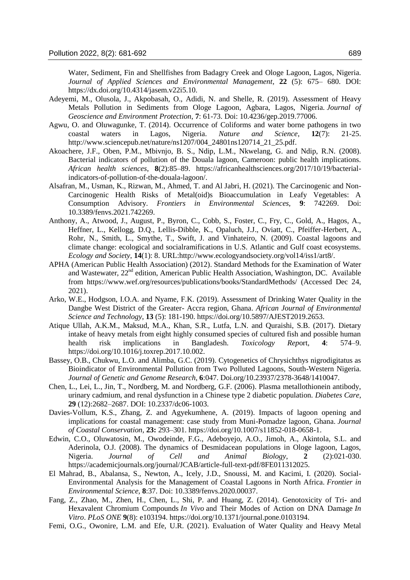Water, Sediment, Fin and Shellfishes from Badagry Creek and Ologe Lagoon, Lagos, Nigeria. *Journal of Applied Sciences and Environmental Management*, **22** (5): 675– 680. DOI: https://dx.doi.org/10.4314/jasem.v22i5.10.

- Adeyemi, M., Olusola, J., Akpobasah, O., Adidi, N. and Shelle, R. (2019). Assessment of Heavy Metals Pollution in Sediments from Ologe Lagoon, Agbara, Lagos, Nigeria. *Journal of Geoscience and Environment Protection*, **7**: 61-73. Doi: 10.4236/gep.2019.77006.
- Agwu, O. and Oluwagunke, T. (2014). Occurrence of Coliforms and water borne pathogens in two coastal waters in Lagos, Nigeria. *Nature and Science*, **12**(7): 21-25. http://www.sciencepub.net/nature/ns1207/004\_24801ns120714\_21\_25.pdf.
- Akoachere, J.F., Oben, P.M., Mbivnjo, B. S., Ndip, L.M., Nkwelang, G. and Ndip, R.N. (2008). Bacterial indicators of pollution of the Douala lagoon, Cameroon: public health implications. *African health sciences*, **8**(2):85–89. https://africanhealthsciences.org/2017/10/19/bacterialindicators-of-pollution-of-the-douala-lagoon/.
- Alsafran, M., Usman, K., Rizwan, M., Ahmed, T. and Al Jabri, H. (2021). The Carcinogenic and Non-Carcinogenic Health Risks of Metal(oid)s Bioaccumulation in Leafy Vegetables: A Consumption Advisory. *Frontiers in Environmental Sciences,* **9**: 742269. Doi: 10.3389/fenvs.2021.742269.
- Anthony, A., Atwood, J., August, P., Byron, C., Cobb, S., Foster, C., Fry, C., Gold, A., Hagos, A., Heffner, L., Kellogg, D.Q., Lellis-Dibble, K., Opaluch, J.J., Oviatt, C., Pfeiffer-Herbert, A., Rohr, N., Smith, L., Smythe, T., Swift, J. and Vinhateiro, N. (2009). Coastal lagoons and climate change: ecological and socialramifications in U.S. Atlantic and Gulf coast ecosystems. *Ecology and Society*, **14**(1): 8. URL:http://www.ecologyandsociety.org/vol14/iss1/art8/.
- APHA (American Public Health Association) (2012). Standard Methods for the Examination of Water and Wastewater, 22<sup>nd</sup> edition, American Public Health Association, Washington, DC. Available from https://www.wef.org/resources/publications/books/StandardMethods/ (Accessed Dec 24, 2021).
- Arko, W.E., Hodgson, I.O.A. and Nyame, F.K. (2019). Assessment of Drinking Water Quality in the Dangbe West District of the Greater- Accra region, Ghana. *African Journal of Environmental Science and Technology*, **13** (5): 181-190. https://doi.org/10.5897/AJEST2019.2653.
- Atique Ullah, A.K.M., Maksud, M.A., Khan, S.R., Lutfa, L.N. and Quraishi, S.B. (2017). Dietary intake of heavy metals from eight highly consumed species of cultured fish and possible human health risk implications in Bangladesh. *Toxicology Rep*ort, **4**: 574–9. https://doi.org/10.1016/j.toxrep.2017.10.002.
- Bassey, O.B., Chukwu, L.O. and Alimba, G.C. (2019). Cytogenetics of Chrysichthys nigrodigitatus as Bioindicator of Environmental Pollution from Two Polluted Lagoons, South-Western Nigeria. *Journal of Genetic and Genome Research*, **6**:047. Doi.org/10.23937/2378-3648/1410047.
- Chen, L., Lei, L., Jin, T., Nordberg, M. and Nordberg, G.F. (2006). Plasma metallothionein antibody, urinary cadmium, and renal dysfunction in a Chinese type 2 diabetic population. *Diabetes Care*, **29** (12):2682–2687. DOI: 10.2337/dc06-1003.
- Davies-Vollum, K.S., Zhang, Z. and Agyekumhene, A. (2019). Impacts of lagoon opening and implications for coastal management: case study from Muni-Pomadze lagoon, Ghana. *Journal of Coastal Conservation,* **23:** 293–301. https://doi.org/10.1007/s11852-018-0658-1.
- Edwin, C.O., Oluwatosin, M., Owodeinde, F.G., Adeboyejo, A.O., Jimoh, A., Akintola, S.L. and Aderinola, O.J. (2008). The dynamics of Desmidacean populations in Ologe lagoon, Lagos, Nigeria. *Journal of Cell and Animal Biology*, **2** (2):021-030. https://academicjournals.org/journal/JCAB/article-full-text-pdf/8FE011312025.
- El Mahrad, B., Abalansa, S., Newton, A., Icely, J.D., Snoussi, M. and Kacimi, I. (2020). Social-Environmental Analysis for the Management of Coastal Lagoons in North Africa. *Frontier in Environmental Science,* **8**:37. Doi: 10.3389/fenvs.2020.00037.
- Fang, Z., Zhao, M., Zhen, H., Chen, L., Shi, P. and Huang, Z. (2014). Genotoxicity of Tri- and Hexavalent Chromium Compounds *In Vivo* and Their Modes of Action on DNA Damage *In Vitro*. *PLoS ONE* **9**(8): e103194. https://doi.org/10.1371/journal.pone.0103194.
- Femi, O.G., Owonire, L.M. and Efe, U.R. (2021). Evaluation of Water Quality and Heavy Metal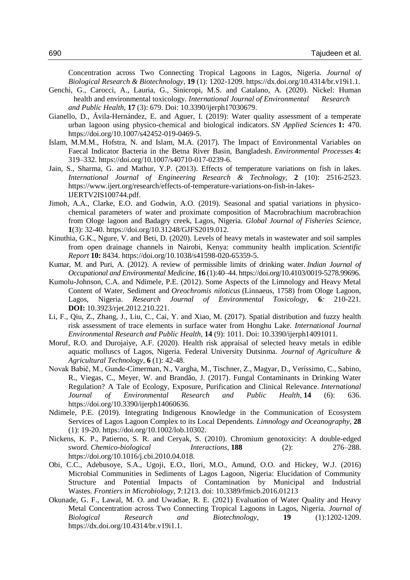Concentration across Two Connecting Tropical Lagoons in Lagos, Nigeria. *Journal of Biological Research & Biotechnology*, **19** (1): 1202-1209. https://dx.doi.org/10.4314/br.v19i1.1.

- Genchi, G., Carocci, A., Lauria, G., Sinicropi, M.S. and Catalano, A. (2020). Nickel: Human health and environmental toxicology. *International Journal of Environmental Research and Public Health*, **17** (3): 679. Doi: 10.3390/ijerph17030679.
- Gianello, D., Ávila-Hernández, E. and Aguer, I. (2019): Water quality assessment of a temperate urban lagoon using physico-chemical and biological indicators. *SN Applied Sciences* **1:** 470. https://doi.org/10.1007/s42452-019-0469-5.
- Islam, M.M.M., Hofstra, N. and Islam, M.A. (2017). The Impact of Environmental Variables on Faecal Indicator Bacteria in the Betna River Basin, Bangladesh. *Environmental Processes* **4:**  319–332. https://doi.org/10.1007/s40710-017-0239-6.
- Jain, S., Sharma, G. and Mathur, Y.P. (2013). Effects of temperature variations on fish in lakes. *International Journal of Engineering Research & Technology*, **2** (10): 2516-2523. https://www.ijert.org/research/effects-of-temperature-variations-on-fish-in-lakes-IJERTV2IS100744.pdf.
- Jimoh, A.A., Clarke, E.O. and Godwin, A.O. (2019). Seasonal and spatial variations in physicochemical parameters of water and proximate composition of Macrobrachium macrobrachion from Ologe lagoon and Badagry creek, Lagos, Nigeria. *Global Journal of Fisheries Science*, **1**(3): 32-40. https://doi.org/10.31248/GJFS2019.012.
- Kinuthia, G.K., Ngure, V. and Beti, D. (2020). Levels of heavy metals in wastewater and soil samples from open drainage channels in Nairobi, Kenya: community health implication. *Scientific Report* **10:** 8434. https://doi.org/10.1038/s41598-020-65359-5.
- Kumar, M. and Puri, A. (2012). A review of permissible limits of drinking water. *Indian Journal of Occupational and Environmental Medicine*, **16** (1):40–44. https://doi.org/10.4103/0019-5278.99696.
- Kumolu-Johnson, C.A. and Ndimele, P.E. (2012). Some Aspects of the Limnology and Heavy Metal Content of Water, Sediment and *Oreochromis niloticus* (Linnaeus, 1758) from Ologe Lagoon, Lagos, Nigeria. *Research Journal of Environmental Toxicology,* **6***:* 210-221*.* **DOI:** 10.3923/rjet.2012.210.221.
- Li, F., Qiu, Z., Zhang, J., Liu, C., Cai, Y. and Xiao, M. (2017). Spatial distribution and fuzzy health risk assessment of trace elements in surface water from Honghu Lake. *International Journal Environmental Research and Public Health*, **14** (9): 1011. Doi: 10.3390/ijerph14091011.
- Moruf, R.O. and Durojaiye, A.F. (2020). Health risk appraisal of selected heavy metals in edible aquatic molluscs of Lagos, Nigeria. Federal University Dutsinma. *Journal of Agriculture & Agricultural Technology*, **6** (1): 42-48.
- Novak Babič, M., Gunde-Cimerman, N., Vargha, M., Tischner, Z., Magyar, D., Veríssimo, C., Sabino, R., Viegas, C., Meyer, W. and Brandão, J. (2017). Fungal Contaminants in Drinking Water Regulation? A Tale of Ecology, Exposure, Purification and Clinical Relevance. *International Journal of Environmental Research and Public Health*, **14** (6): 636. https://doi.org/10.3390/ijerph14060636.
- Ndimele, P.E. (2019). Integrating Indigenous Knowledge in the Communication of Ecosystem Services of Lagos Lagoon Complex to its Local Dependents. *Limnology and Oceanography*, **28** (1): 19-20. https://doi.org/10.1002/lob.10302.
- Nickens, K. P., Patierno, S. R. and Ceryak, S. (2010). Chromium genotoxicity: A double-edged sword. *Chemico-biological Interactions*, **188** (2): 276–288. https://doi.org/10.1016/j.cbi.2010.04.018.
- Obi, C.C., Adebusoye, S.A., Ugoji, E.O., Ilori, M.O., Amund, O.O. and Hickey, W.J. (2016) Microbial Communities in Sediments of Lagos Lagoon, Nigeria: Elucidation of Community Structure and Potential Impacts of Contamination by Municipal and Industrial Wastes. *Frontiers in Microbiology,* **7**:1213. doi: 10.3389/fmicb.2016.01213
- Okunade, G. F., Lawal, M. O. and Uwadiae, R. E. (2021) Evaluation of Water Quality and Heavy Metal Concentration across Two Connecting Tropical Lagoons in Lagos, Nigeria. *Journal of Biological Research and Biotechnology*, **19** (1):1202-1209. https://dx.doi.org/10.4314/br.v19i1.1.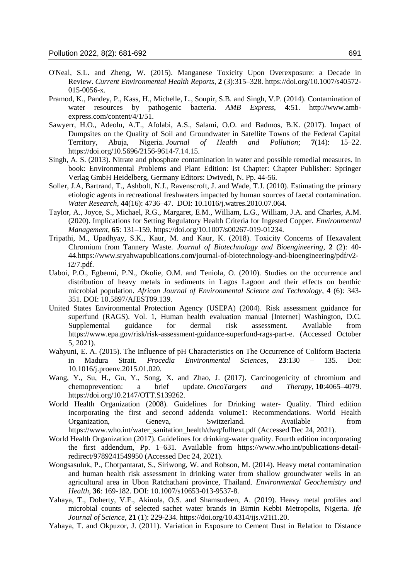- O'Neal, S.L. and Zheng, W. (2015). Manganese Toxicity Upon Overexposure: a Decade in Review. *Current Environmental Health Reports*, **2** (3):315–328. https://doi.org/10.1007/s40572- 015-0056-x.
- Pramod, K., Pandey, P., Kass, H., Michelle, L., Soupir, S.B. and Singh, V.P. (2014). Contamination of water resources by pathogenic bacteria. *AMB Express*, **4**:51. http://www.ambexpress.com/content/4/1/51.
- Sawyerr, H.O., Adeolu, A.T., Afolabi, A.S., Salami, O.O. and Badmos, B.K. (2017). Impact of Dumpsites on the Quality of Soil and Groundwater in Satellite Towns of the Federal Capital Territory, Abuja, Nigeria. *Journal of Health and Pollution*; **7**(14): 15–22. https://doi.org/10.5696/2156-9614-7.14.15.
- Singh, A. S. (2013). Nitrate and phosphate contamination in water and possible remedial measures. In book: Environmental Problems and Plant Edition: Ist Chapter: Chapter Publisher: Springer Verlag GmbH Heidelberg, Germany Editors: Dwivedi, N. Pp. 44-56.
- Soller, J.A, Bartrand, T., Ashbolt, N.J., Ravenscroft, J. and Wade, T.J. (2010). Estimating the primary etiologic agents in recreational freshwaters impacted by human sources of faecal contamination. *Water Research*, **44**(16): 4736–47. DOI: 10.1016/j.watres.2010.07.064.
- Taylor, A., Joyce, S., Michael, R.G., Margaret, E.M., William, L.G., William, J.A. and Charles, A.M. (2020). Implications for Setting Regulatory Health Criteria for Ingested Copper. *Environmental Management*, **65**: 131–159. https://doi.org/10.1007/s00267-019-01234.
- Tripathi, M., Upadhyay, S.K., Kaur, M. and Kaur, K. (2018). Toxicity Concerns of Hexavalent Chromium from Tannery Waste. *Journal of Biotechnology and Bioengineering*, **2** (2): 40- 44.https://www.sryahwapublications.com/journal-of-biotechnology-and-bioengineering/pdf/v2 i2/7.pdf.
- Uaboi, P.O., Egbenni, P.N., Okolie, O.M. and Teniola, O. (2010). Studies on the occurrence and distribution of heavy metals in sediments in Lagos Lagoon and their effects on benthic microbial population. *African Journal of Environmental Science and Technology*, **4** (6): 343- 351. DOI: 10.5897/AJEST09.139.
- United States Environmental Protection Agency (USEPA) (2004). Risk assessment guidance for superfund (RAGS). Vol. 1, Human health evaluation manual [Internet] Washington, D.C. Supplemental guidance for dermal risk assessment. Available from https://www.epa.gov/risk/risk-assessment-guidance-superfund-rags-part-e. (Accessed October 5, 2021).
- Wahyuni, E. A. (2015). The Influence of pH Characteristics on The Occurrence of Coliform Bacteria in Madura Strait. *Procedia Environmental Sciences*, **23**:130 – 135. Doi: 10.1016/j.proenv.2015.01.020.
- Wang, Y., Su, H., Gu, Y., Song, X. and Zhao, J. (2017). Carcinogenicity of chromium and chemoprevention: a brief update. *OncoTargets and Therapy*, **10**:4065–4079. https://doi.org/10.2147/OTT.S139262.
- World Health Organization (2008). Guidelines for Drinking water- Quality. Third edition incorporating the first and second addenda volume1: Recommendations. World Health Organization, Geneva, Switzerland. Available from https://www.who.int/water\_sanitation\_health/dwq/fulltext.pdf (Accessed Dec 24, 2021).
- World Health Organization (2017). Guidelines for drinking-water quality. Fourth edition incorporating the first addendum, Pp. 1–631. Available from https://www.who.int/publications-detailredirect/9789241549950 (Accessed Dec 24, 2021).
- Wongsasuluk, P., Chotpantarat, S., Siriwong, W. and Robson, M. (2014). Heavy metal contamination and human health risk assessment in drinking water from shallow groundwater wells in an agricultural area in Ubon Ratchathani province, Thailand. *Environmental Geochemistry and Health*, **36**: 169-182. DOI: 10.1007/s10653-013-9537-8.
- Yahaya, T., Doherty, V.F., Akinola, O.S. and Shamsudeen, A. (2019). Heavy metal profiles and microbial counts of selected sachet water brands in Birnin Kebbi Metropolis, Nigeria. *Ife Journal of Science*, **21** (1): 229-234. https://doi.org/10.4314/ijs.v21i1.20.
- Yahaya, T. and Okpuzor, J. (2011). Variation in Exposure to Cement Dust in Relation to Distance